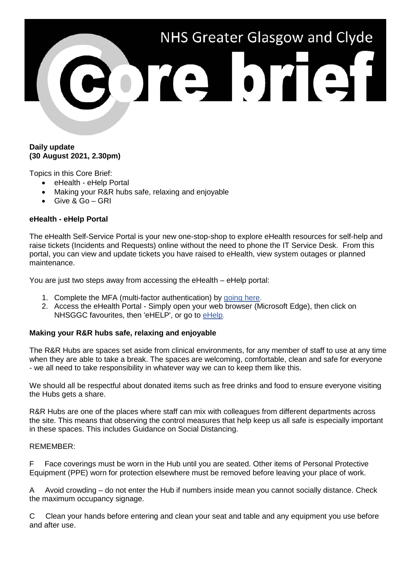

# **Daily update (30 August 2021, 2.30pm)**

Topics in this Core Brief:

- eHealth eHelp Portal
- Making your R&R hubs safe, relaxing and enjoyable
- $\bullet$  Give & Go GRI

## **eHealth - eHelp Portal**

The eHealth Self-Service Portal is your new one-stop-shop to explore eHealth resources for self-help and raise tickets (Incidents and Requests) online without the need to phone the IT Service Desk. From this portal, you can view and update tickets you have raised to eHealth, view system outages or planned maintenance.

You are just two steps away from accessing the eHealth – eHelp portal:

- 1. Complete the MFA (multi-factor authentication) by [going here.](https://rise.articulate.com/share/cMBcdU56TbcBH-3CUP-R0d_-2X0WJTDZ#/)
- 2. Access the eHealth Portal Simply open your web browser (Microsoft Edge), then click on NHSGGC favourites, then 'eHELP', or go to [eHelp.](https://nhsscotland.service-now.com/login_with_sso.do?glide_sso_id=af24952c1b75ff002a9ca64c2e4bcb40)

## **Making your R&R hubs safe, relaxing and enjoyable**

The R&R Hubs are spaces set aside from clinical environments, for any member of staff to use at any time when they are able to take a break. The spaces are welcoming, comfortable, clean and safe for everyone - we all need to take responsibility in whatever way we can to keep them like this.

We should all be respectful about donated items such as free drinks and food to ensure everyone visiting the Hubs gets a share.

R&R Hubs are one of the places where staff can mix with colleagues from different departments across the site. This means that observing the control measures that help keep us all safe is especially important in these spaces. This includes Guidance on Social Distancing.

## REMEMBER:

F Face coverings must be worn in the Hub until you are seated. Other items of Personal Protective Equipment (PPE) worn for protection elsewhere must be removed before leaving your place of work.

A Avoid crowding – do not enter the Hub if numbers inside mean you cannot socially distance. Check the maximum occupancy signage.

C Clean your hands before entering and clean your seat and table and any equipment you use before and after use.